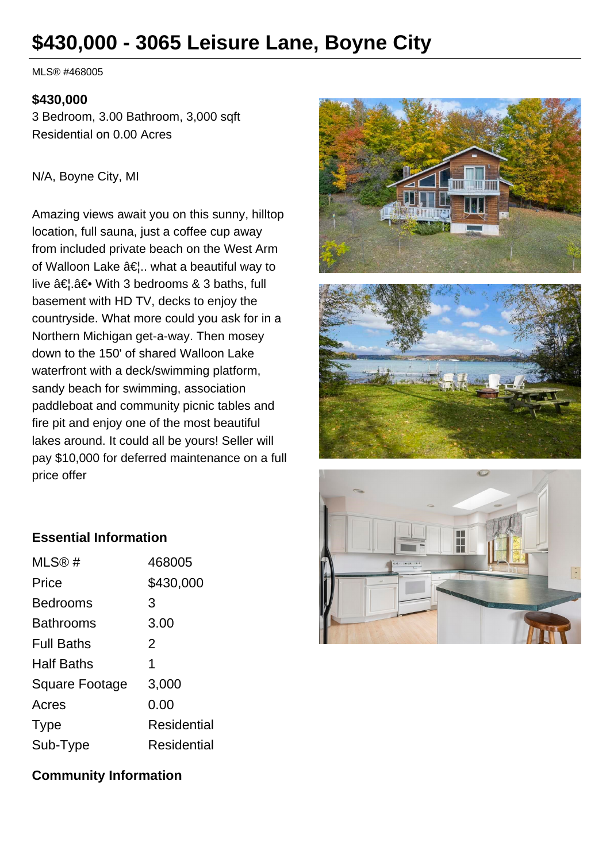# **\$430,000 - 3065 Leisure Lane, Boyne City**

MLS® #468005

#### **\$430,000**

3 Bedroom, 3.00 Bathroom, 3,000 sqft Residential on 0.00 Acres

#### N/A, Boyne City, MI

Amazing views await you on this sunny, hilltop location, full sauna, just a coffee cup away from included private beach on the West Arm of Walloon Lake  $\hat{a} \in \Sigma$ .. what a beautiful way to live  $\hat{a} \in \hat{A}$ .  $\hat{a} \in \hat{A}$  With 3 bedrooms & 3 baths, full basement with HD TV, decks to enjoy the countryside. What more could you ask for in a Northern Michigan get-a-way. Then mosey down to the 150' of shared Walloon Lake waterfront with a deck/swimming platform, sandy beach for swimming, association paddleboat and community picnic tables and fire pit and enjoy one of the most beautiful lakes around. It could all be yours! Seller will pay \$10,000 for deferred maintenance on a full price offer







# **Essential Information**

| MLS@#                 | 468005             |
|-----------------------|--------------------|
| Price                 | \$430,000          |
| <b>Bedrooms</b>       | 3                  |
| <b>Bathrooms</b>      | 3.00               |
| <b>Full Baths</b>     | 2                  |
| <b>Half Baths</b>     | 1                  |
| <b>Square Footage</b> | 3,000              |
| Acres                 | 0.00               |
| Type                  | Residential        |
| Sub-Type              | <b>Residential</b> |

# **Community Information**